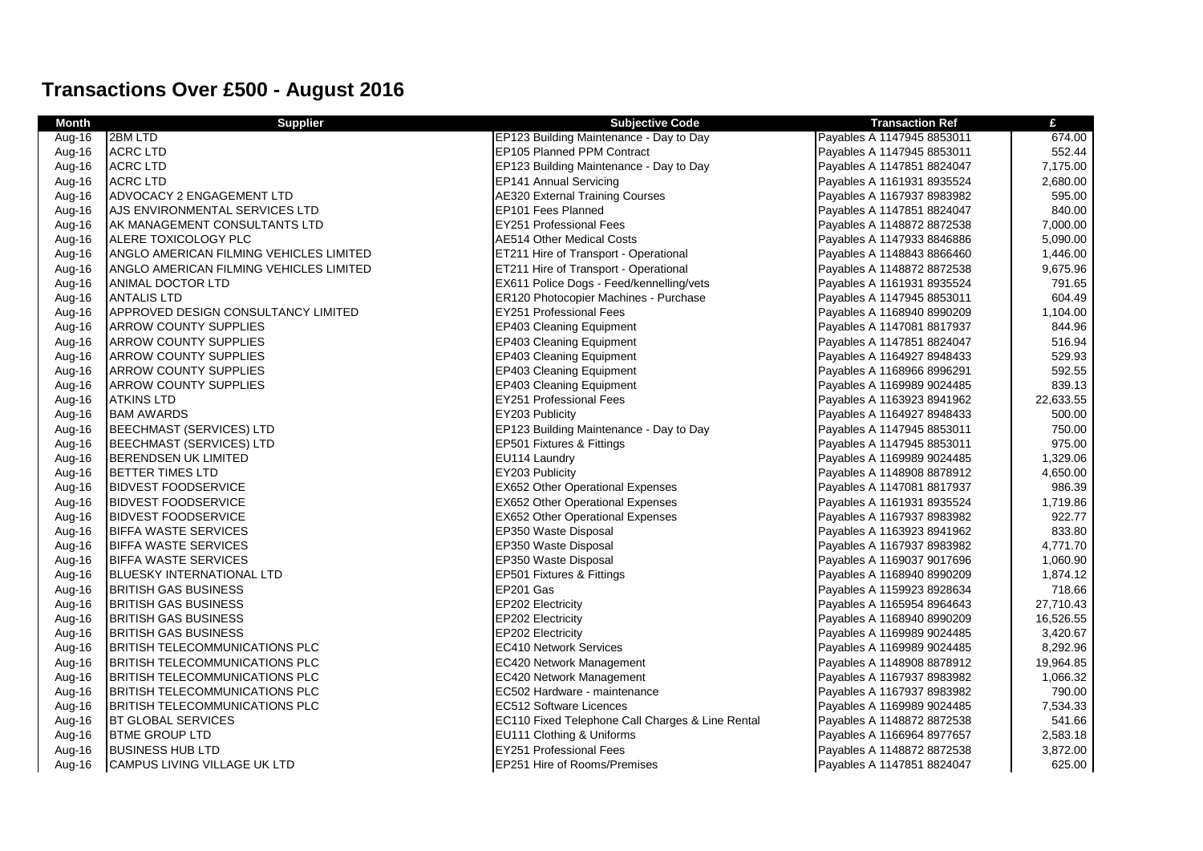## **Transactions Over £500 - August 2016**

| Month  | <b>Supplier</b>                            | <b>Subjective Code</b>                           | <b>Transaction Ref</b>     | £         |
|--------|--------------------------------------------|--------------------------------------------------|----------------------------|-----------|
| Aug-16 | 2BM LTD                                    | EP123 Building Maintenance - Day to Day          | Payables A 1147945 8853011 | 674.00    |
| Aug-16 | <b>ACRC LTD</b>                            | EP105 Planned PPM Contract                       | Payables A 1147945 8853011 | 552.44    |
| Aug-16 | <b>ACRC LTD</b>                            | EP123 Building Maintenance - Day to Day          | Payables A 1147851 8824047 | 7,175.00  |
| Aug-16 | <b>ACRC LTD</b>                            | EP141 Annual Servicing                           | Payables A 1161931 8935524 | 2,680.00  |
| Aug-16 | ADVOCACY 2 ENGAGEMENT LTD                  | <b>AE320 External Training Courses</b>           | Payables A 1167937 8983982 | 595.00    |
| Aug-16 | AJS ENVIRONMENTAL SERVICES LTD             | EP101 Fees Planned                               | Payables A 1147851 8824047 | 840.00    |
| Aug-16 | IAK MANAGEMENT CONSULTANTS LTD             | <b>EY251 Professional Fees</b>                   | Payables A 1148872 8872538 | 7,000.00  |
| Aug-16 | ALERE TOXICOLOGY PLC                       | AE514 Other Medical Costs                        | Payables A 1147933 8846886 | 5,090.00  |
| Aug-16 | ANGLO AMERICAN FILMING VEHICLES LIMITED    | ET211 Hire of Transport - Operational            | Payables A 1148843 8866460 | 1,446.00  |
| Aug-16 | ANGLO AMERICAN FILMING VEHICLES LIMITED    | ET211 Hire of Transport - Operational            | Payables A 1148872 8872538 | 9,675.96  |
| Aug-16 | ANIMAL DOCTOR LTD                          | EX611 Police Dogs - Feed/kennelling/vets         | Payables A 1161931 8935524 | 791.65    |
| Aug-16 | <b>ANTALIS LTD</b>                         | ER120 Photocopier Machines - Purchase            | Payables A 1147945 8853011 | 604.49    |
| Aug-16 | <b>APPROVED DESIGN CONSULTANCY LIMITED</b> | <b>EY251 Professional Fees</b>                   | Payables A 1168940 8990209 | 1,104.00  |
| Aug-16 | <b>ARROW COUNTY SUPPLIES</b>               | EP403 Cleaning Equipment                         | Payables A 1147081 8817937 | 844.96    |
| Aug-16 | <b>ARROW COUNTY SUPPLIES</b>               | <b>EP403 Cleaning Equipment</b>                  | Payables A 1147851 8824047 | 516.94    |
| Aug-16 | <b>ARROW COUNTY SUPPLIES</b>               | EP403 Cleaning Equipment                         | Payables A 1164927 8948433 | 529.93    |
| Aug-16 | <b>ARROW COUNTY SUPPLIES</b>               | EP403 Cleaning Equipment                         | Payables A 1168966 8996291 | 592.55    |
| Aug-16 | <b>ARROW COUNTY SUPPLIES</b>               | <b>EP403 Cleaning Equipment</b>                  | Payables A 1169989 9024485 | 839.13    |
| Aug-16 | <b>ATKINS LTD</b>                          | EY251 Professional Fees                          | Payables A 1163923 8941962 | 22,633.55 |
| Aug-16 | <b>BAM AWARDS</b>                          | EY203 Publicity                                  | Payables A 1164927 8948433 | 500.00    |
| Aug-16 | <b>BEECHMAST (SERVICES) LTD</b>            | EP123 Building Maintenance - Day to Day          | Payables A 1147945 8853011 | 750.00    |
| Aug-16 | <b>BEECHMAST (SERVICES) LTD</b>            | EP501 Fixtures & Fittings                        | Payables A 1147945 8853011 | 975.00    |
| Aug-16 | <b>BERENDSEN UK LIMITED</b>                | EU114 Laundry                                    | Payables A 1169989 9024485 | 1,329.06  |
| Aug-16 | BETTER TIMES LTD                           | EY203 Publicity                                  | Payables A 1148908 8878912 | 4,650.00  |
| Aug-16 | <b>BIDVEST FOODSERVICE</b>                 | EX652 Other Operational Expenses                 | Payables A 1147081 8817937 | 986.39    |
| Aug-16 | <b>BIDVEST FOODSERVICE</b>                 | <b>EX652 Other Operational Expenses</b>          | Payables A 1161931 8935524 | 1,719.86  |
| Aug-16 | <b>BIDVEST FOODSERVICE</b>                 | EX652 Other Operational Expenses                 | Payables A 1167937 8983982 | 922.77    |
| Aug-16 | <b>BIFFA WASTE SERVICES</b>                | EP350 Waste Disposal                             | Payables A 1163923 8941962 | 833.80    |
| Aug-16 | <b>BIFFA WASTE SERVICES</b>                | EP350 Waste Disposal                             | Payables A 1167937 8983982 | 4,771.70  |
| Aug-16 | <b>BIFFA WASTE SERVICES</b>                | EP350 Waste Disposal                             | Payables A 1169037 9017696 | 1,060.90  |
| Aug-16 | <b>BLUESKY INTERNATIONAL LTD</b>           | EP501 Fixtures & Fittings                        | Payables A 1168940 8990209 | 1,874.12  |
| Aug-16 | <b>BRITISH GAS BUSINESS</b>                | EP201 Gas                                        | Payables A 1159923 8928634 | 718.66    |
| Aug-16 | <b>BRITISH GAS BUSINESS</b>                | EP202 Electricity                                | Payables A 1165954 8964643 | 27,710.43 |
| Aug-16 | <b>BRITISH GAS BUSINESS</b>                | EP202 Electricity                                | Payables A 1168940 8990209 | 16,526.55 |
| Aug-16 | <b>BRITISH GAS BUSINESS</b>                | EP202 Electricity                                | Payables A 1169989 9024485 | 3,420.67  |
| Aug-16 | <b>BRITISH TELECOMMUNICATIONS PLC</b>      | EC410 Network Services                           | Payables A 1169989 9024485 | 8,292.96  |
| Aug-16 | BRITISH TELECOMMUNICATIONS PLC             | EC420 Network Management                         | Payables A 1148908 8878912 | 19,964.85 |
| Aug-16 | <b>BRITISH TELECOMMUNICATIONS PLC</b>      | EC420 Network Management                         | Payables A 1167937 8983982 | 1,066.32  |
| Aug-16 | <b>BRITISH TELECOMMUNICATIONS PLC</b>      | EC502 Hardware - maintenance                     | Payables A 1167937 8983982 | 790.00    |
| Aug-16 | <b>BRITISH TELECOMMUNICATIONS PLC</b>      | EC512 Software Licences                          | Payables A 1169989 9024485 | 7,534.33  |
| Aug-16 | <b>BT GLOBAL SERVICES</b>                  | EC110 Fixed Telephone Call Charges & Line Rental | Payables A 1148872 8872538 | 541.66    |
| Aug-16 | <b>BTME GROUP LTD</b>                      | EU111 Clothing & Uniforms                        | Payables A 1166964 8977657 | 2,583.18  |
| Aug-16 | <b>BUSINESS HUB LTD</b>                    | <b>EY251 Professional Fees</b>                   | Payables A 1148872 8872538 | 3,872.00  |
| Aug-16 | <b>I</b> CAMPUS LIVING VILLAGE UK LTD      | <b>EP251 Hire of Rooms/Premises</b>              | Payables A 1147851 8824047 | 625.00    |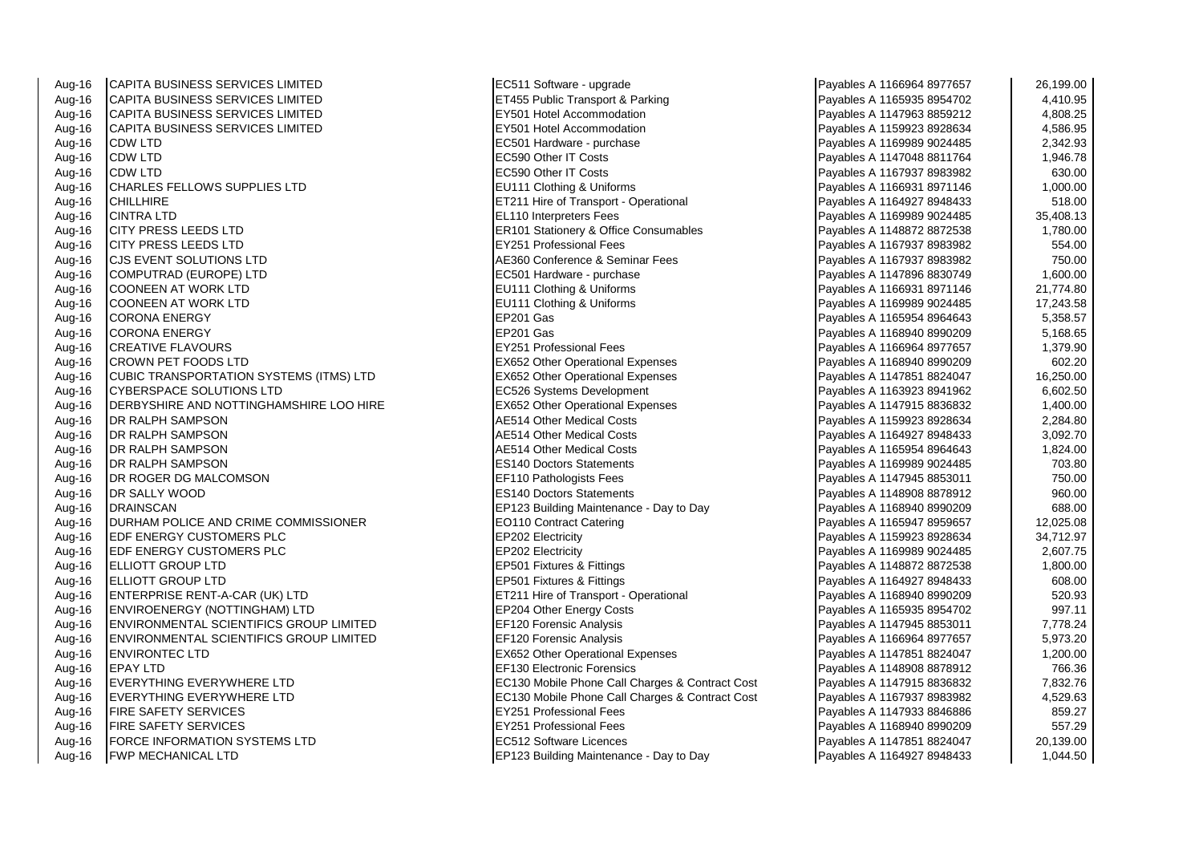Aug-16 CAPITA BUSINESS SERVICES LIMITED **EC511 Software - upgrade** Aug-16 CAPITA BUSINESS SERVICES LIMITED CAPITA BUSINESS SERVICES LIMITED ET455 Public Transport & Parking Payables A 11659 8954703 895 8954703 895 895<br>| EXSO1 Hotel Accommodation Aug-16 CAPITA BUSINESS SERVICES LIMITED Aug-16 CAPITA BUSINESS SERVICES LIMITED **EXECUTES A 1259** EY501 Hotel Accommodation Aug-16 CDW LTD EC501 Hardware - purchase Payables A 1169989 9024485 2,342.93 Aug-16 CDW LTD EC590 Other IT Costs Payables A 1147048 8811764 1,946.78 Aug-16 CDW LTD EC590 Other IT Costs Payables A 1167937 8983982 630.00 Aug-16 CHARLES FELLOWS SUPPLIES LTD **EU111 Clothing & Uniforms**<br>Aug-16 CHILLHIRE Aug-16 CHILLHIRE ET211 Hire of Transport - Operational Aug-16 CINTRA LTD<br>
Aug-16 CITY PRESS LEEDS LTD<br>
ER101 Stationery & Offic Aug-16 CITY PRESS LEEDS LTD ERIC RESOLUTION ERIC RESOLUTION STATISTIC RESOLUTION OF THE RANGE CONSUMABLES A 11 Aug-16 CITY PRESS LEEDS LTD<br>Aug-16 C.IS EVENT SOLUTIONS LTD A 2008 2009 12:000 AF360 Conference & Sen Aug-16 CJS EVENT SOLUTIONS LTD<br>
Aug-16 COMPUTRAD (EUROPE) LTD<br>
Aug-16 COMPUTRAD (EUROPE) LTD COMPUTRAD (EUROPE) LTD Aug-16 COONEEN AT WORK LTD Aug-16 COONEEN AT WORK LTD Clothing & Uniforms Payables A 1166931 8971146 21,171.807<br>Pula-16 COONEEN AT WORK LTD Aug-16 CORONA ENERGY EP201 Gas Payables A 1165954 8964643 5,358.57 Aug-16 CORONA ENERGY EP201 Gas Payables A 1168940 8990209 5,168.65 Aug-16 CREATIVE FLAVOURS EY251 Professional Fees Payables A 1166964 8977657 1,379.90 Aug-16 CROWN PET FOODS LTD EX652 Other Operational Expenses Aug-16 CUBIC TRANSPORTATION SYSTEMS (ITMS) LTD **EX652** Other Operational Expenses Aug-16 CYBERSPACE SOLUTIONS LTD<br>Aug-16 DERBYSHIRE AND NOTTINGHAMSHIRE LOO HIRE **Payable State A 1163** EX652 Other Operational Expenses Aug-16 DERBYSHIRE AND NOTTINGHAMSHIRE LOO HIRE<br>Aug-16 OR RAI PH SAMPSON Aug-16 DR RALPH SAMPSON AE514 Other Medical Costs Aug-16 DR RALPH SAMPSON AE514 Other Medical Costs Payables A 1164927 8948433 3,092.70 Aug-16 |DR RALPH SAMPSON AE514 Other Medical Costs 1,824.00 Aug-16 DR RALPH SAMPSON ES140 Doctors Statements Payables A 1169989 9024485 703.80 Aug-16 DR ROGER DG MALCOMSON Aug-16 DR ROGER DG MALCOMSON EF110 Pathologists Fees<br>Aug-16 DR SALLY WOOD Aug-16 DR SALLY WOOD ES140 Doctors Statements Aug-16 DRAINSCAN EP123 Building Maintenance - Day to Day<br>Aug-16 DURHAM POLICE AND CRIME COMMISSIONER EQ110 Contract Catering Aug-16 DURHAM POLICE AND CRIME COMMISSIONER Aug-16 EDF ENERGY CUSTOMERS PLC<br>
Aug-16 EDF ENERGY CUSTOMERS PLC<br>
EP202 Electricity Aug-16 EDF ENERGY CUSTOMERS PLC Aug-16 ELLIOTT GROUP LTD EP501 Fixtures & Fittings Aug-16 ELLIOTT GROUP LTD<br>Aug-16 ENTERPRISE RENT-A-CAR (UK) LTD **EXAMPLE A 11649** ET211 Hire of Transport - Operational Aug-16 **ENTERPRISE RENT-A-CAR (UK) LTD** Aug-16 ENVIROENERGY (NOTTINGHAM) LTD EP204 Other Energy Costs Aug-16 ENVIRONMENTAL SCIENTIFICS GROUP LIMITED EF120 Forensic Analysis Aug-16 ENVIRONMENTAL SCIENTIFICS GROUP LIMITED EF120 Forensic Analysis Aug-16 ENVIRONTEC LTD EX652 Other Operational Expenses Payables A 1147851 8824047 1,200.00 Aug-16 EPAY LTD **EFAY LTD** EF130 Electronic Forensics Aug-16 EVERYTHING EVERYWHERE LTD EXAMPLE AND REC130 Mobile Phone Call Charges & Contract Cost Aug-16 EVERYTHING EVERYWHERE LTD EXAMPLE REFORE THE SAME COST PROPERTY RESERVE A 12 SOUTIGE A 1167938 Aug-16 FIRE SAFETY SERVICES EXAMPLE A 10-16 RY251 Professional Fees Aug-16 FIRE SAFETY SERVICES EXAMPLE THE SAFETY SERVICES PAYABLE SAFETY SERVICES Aug-16 FORCE INFORMATION SYSTEMS LTD EC512 Software Licences Aug-16 FWP MECHANICAL LTD **EP123 Building Maintenance - Day to Day** 

 $FU111$  Clothing & Uniforms

| Payables A 1166964 8977657 | 26,199.00 |
|----------------------------|-----------|
| Payables A 1165935 8954702 | 4,410.95  |
| Payables A 1147963 8859212 | 4,808.25  |
| Payables A 1159923 8928634 | 4,586.95  |
| Payables A 1169989 9024485 | 2,342.93  |
| Payables A 1147048 8811764 | 1,946.78  |
| Payables A 1167937 8983982 | 630.00    |
| Payables A 1166931 8971146 | 1,000.00  |
| Payables A 1164927 8948433 | 518.00    |
| Payables A 1169989 9024485 | 35,408.13 |
| Payables A 1148872 8872538 | 1,780.00  |
| Payables A 1167937 8983982 | 554.00    |
| Payables A 1167937 8983982 | 750.00    |
| Payables A 1147896 8830749 | 1,600.00  |
| Payables A 1166931 8971146 | 21,774.80 |
| Payables A 1169989 9024485 | 17,243.58 |
| Payables A 1165954 8964643 | 5,358.57  |
| Payables A 1168940 8990209 | 5,168.65  |
| Payables A 1166964 8977657 | 1,379.90  |
| Payables A 1168940 8990209 | 602.20    |
| Payables A 1147851 8824047 | 16,250.00 |
| Payables A 1163923 8941962 | 6,602.50  |
| Payables A 1147915 8836832 | 1,400.00  |
| Payables A 1159923 8928634 | 2,284.80  |
| Payables A 1164927 8948433 | 3,092.70  |
| Payables A 1165954 8964643 | 1,824.00  |
| Payables A 1169989 9024485 | 703.80    |
| Payables A 1147945 8853011 | 750.00    |
| Payables A 1148908 8878912 | 960.00    |
| Payables A 1168940 8990209 | 688.00    |
| Payables A 1165947 8959657 | 12,025.08 |
| Payables A 1159923 8928634 | 34,712.97 |
| Payables A 1169989 9024485 | 2,607.75  |
| Payables A 1148872 8872538 | 1,800.00  |
| Payables A 1164927 8948433 | 608.00    |
| Payables A 1168940 8990209 | 520.93    |
| Payables A 1165935 8954702 | 997.11    |
| Payables A 1147945 8853011 | 7,778.24  |
| Payables A 1166964 8977657 | 5,973.20  |
| Payables A 1147851 8824047 | 1,200.00  |
| Payables A 1148908 8878912 | 766.36    |
| Payables A 1147915 8836832 | 7,832.76  |
| Payables A 1167937 8983982 | 4,529.63  |
| Payables A 1147933 8846886 | 859.27    |
| Payables A 1168940 8990209 | 557.29    |
| Payables A 1147851 8824047 | 20,139.00 |
| Payables A 1164927 8948433 | 1,044.50  |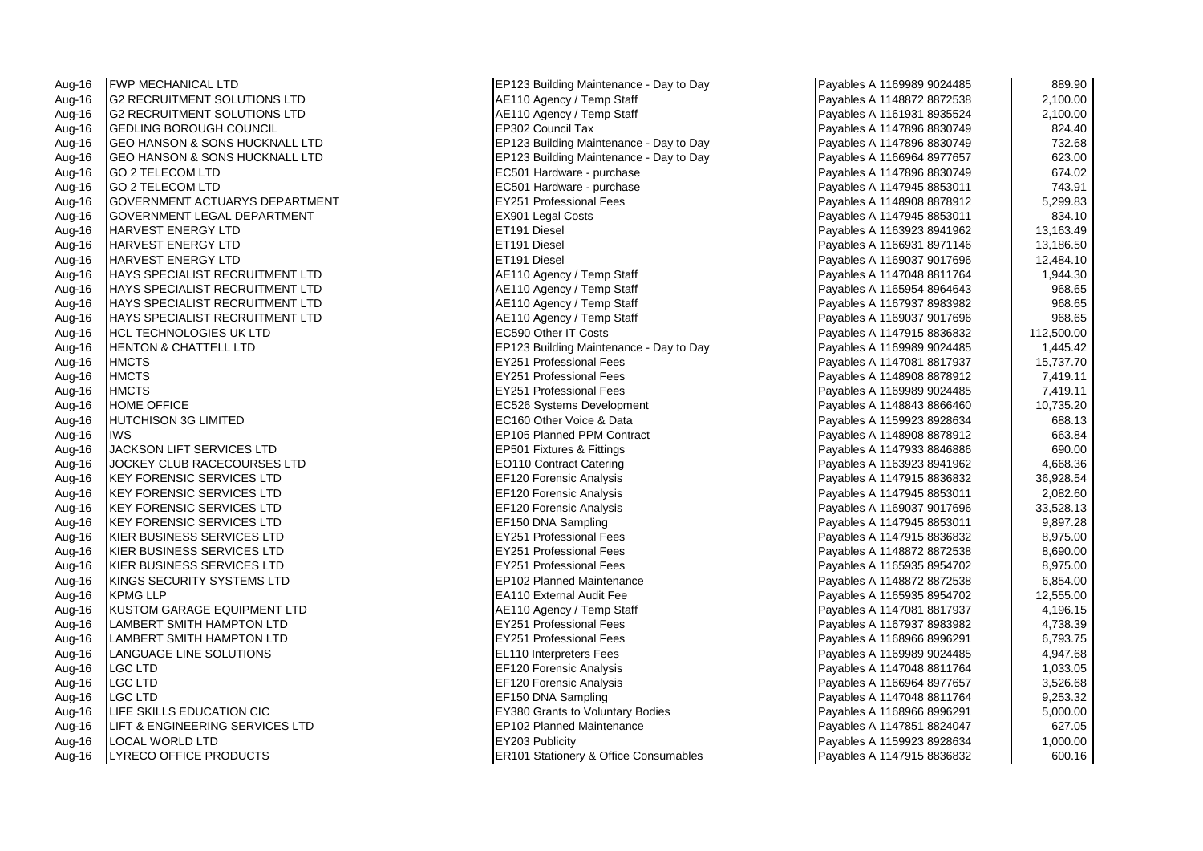| Aug-16 | <b>FWP MECHANICAL LTD</b>                 | EP123 Building Maintenance - Day to Day | Payables A 1169989 9024485 | 889.90     |
|--------|-------------------------------------------|-----------------------------------------|----------------------------|------------|
| Aug-16 | IG2 RECRUITMENT SOLUTIONS LTD             | AE110 Agency / Temp Staff               | Payables A 1148872 8872538 | 2,100.00   |
| Aug-16 | <b>G2 RECRUITMENT SOLUTIONS LTD</b>       | AE110 Agency / Temp Staff               | Payables A 1161931 8935524 | 2,100.00   |
| Aug-16 | <b>GEDLING BOROUGH COUNCIL</b>            | EP302 Council Tax                       | Payables A 1147896 8830749 | 824.40     |
| Aug-16 | <b>GEO HANSON &amp; SONS HUCKNALL LTD</b> | EP123 Building Maintenance - Day to Day | Payables A 1147896 8830749 | 732.68     |
| Aug-16 | GEO HANSON & SONS HUCKNALL LTD            | EP123 Building Maintenance - Day to Day | Payables A 1166964 8977657 | 623.00     |
| Aug-16 | <b>GO 2 TELECOM LTD</b>                   | EC501 Hardware - purchase               | Payables A 1147896 8830749 | 674.02     |
| Aug-16 | <b>GO 2 TELECOM LTD</b>                   | EC501 Hardware - purchase               | Payables A 1147945 8853011 | 743.91     |
| Aug-16 | GOVERNMENT ACTUARYS DEPARTMENT            | <b>EY251 Professional Fees</b>          | Payables A 1148908 8878912 | 5,299.83   |
| Aug-16 | GOVERNMENT LEGAL DEPARTMENT               | EX901 Legal Costs                       | Payables A 1147945 8853011 | 834.10     |
| Aug-16 | HARVEST ENERGY LTD                        | ET191 Diesel                            | Payables A 1163923 8941962 | 13,163.49  |
| Aug-16 | <b>HARVEST ENERGY LTD</b>                 | ET191 Diesel                            | Payables A 1166931 8971146 | 13,186.50  |
| Aug-16 | HARVEST ENERGY LTD                        | ET191 Diesel                            | Payables A 1169037 9017696 | 12,484.10  |
| Aug-16 | HAYS SPECIALIST RECRUITMENT LTD           | AE110 Agency / Temp Staff               | Payables A 1147048 8811764 | 1,944.30   |
| Aug-16 | HAYS SPECIALIST RECRUITMENT LTD           | AE110 Agency / Temp Staff               | Payables A 1165954 8964643 | 968.65     |
| Aug-16 | <b>I</b> HAYS SPECIALIST RECRUITMENT LTD  | AE110 Agency / Temp Staff               | Payables A 1167937 8983982 | 968.65     |
| Aug-16 | HAYS SPECIALIST RECRUITMENT LTD           | AE110 Agency / Temp Staff               | Payables A 1169037 9017696 | 968.65     |
| Aug-16 | HCL TECHNOLOGIES UK LTD                   | <b>EC590 Other IT Costs</b>             | Payables A 1147915 8836832 | 112,500.00 |
| Aug-16 | <b>HENTON &amp; CHATTELL LTD</b>          | EP123 Building Maintenance - Day to Day | Payables A 1169989 9024485 | 1,445.42   |
| Aug-16 | <b>HMCTS</b>                              | <b>EY251 Professional Fees</b>          | Payables A 1147081 8817937 | 15,737.70  |
| Aug-16 | <b>HMCTS</b>                              | <b>EY251 Professional Fees</b>          | Payables A 1148908 8878912 | 7,419.11   |
| Aug-16 | <b>HMCTS</b>                              | <b>EY251 Professional Fees</b>          | Payables A 1169989 9024485 | 7,419.11   |
| Aug-16 | <b>HOME OFFICE</b>                        | EC526 Systems Development               | Payables A 1148843 8866460 | 10,735.20  |
| Aug-16 | <b>HUTCHISON 3G LIMITED</b>               | EC160 Other Voice & Data                | Payables A 1159923 8928634 | 688.13     |
| Aug-16 | <b>IWS</b>                                | EP105 Planned PPM Contract              | Payables A 1148908 8878912 | 663.84     |
| Aug-16 | <b>JACKSON LIFT SERVICES LTD</b>          | <b>EP501 Fixtures &amp; Fittings</b>    | Payables A 1147933 8846886 | 690.00     |
| Aug-16 | JOCKEY CLUB RACECOURSES LTD               | EO110 Contract Catering                 | Payables A 1163923 8941962 | 4,668.36   |
| Aug-16 | KEY FORENSIC SERVICES LTD                 | <b>EF120 Forensic Analysis</b>          | Payables A 1147915 8836832 | 36,928.54  |
| Aug-16 | <b>KEY FORENSIC SERVICES LTD</b>          | EF120 Forensic Analysis                 | Payables A 1147945 8853011 | 2,082.60   |
| Aug-16 | <b>KEY FORENSIC SERVICES LTD</b>          | EF120 Forensic Analysis                 | Payables A 1169037 9017696 | 33,528.13  |
| Aug-16 | <b>KEY FORENSIC SERVICES LTD</b>          | EF150 DNA Sampling                      | Payables A 1147945 8853011 | 9,897.28   |
| Aug-16 | KIER BUSINESS SERVICES LTD                | EY251 Professional Fees                 | Payables A 1147915 8836832 | 8,975.00   |
| Aug-16 | KIER BUSINESS SERVICES LTD                | <b>EY251 Professional Fees</b>          | Payables A 1148872 8872538 | 8,690.00   |
| Aug-16 | KIER BUSINESS SERVICES LTD                | <b>EY251 Professional Fees</b>          | Payables A 1165935 8954702 | 8,975.00   |
| Aug-16 | KINGS SECURITY SYSTEMS LTD                | <b>EP102 Planned Maintenance</b>        | Payables A 1148872 8872538 | 6,854.00   |
| Aug-16 | <b>KPMG LLP</b>                           | EA110 External Audit Fee                | Payables A 1165935 8954702 | 12,555.00  |
| Aug-16 | KUSTOM GARAGE EQUIPMENT LTD               | AE110 Agency / Temp Staff               | Payables A 1147081 8817937 | 4,196.15   |
| Aug-16 | LAMBERT SMITH HAMPTON LTD                 | <b>EY251 Professional Fees</b>          | Payables A 1167937 8983982 | 4,738.39   |
| Aug-16 | LAMBERT SMITH HAMPTON LTD                 | EY251 Professional Fees                 | Payables A 1168966 8996291 | 6,793.75   |
| Aug-16 | LANGUAGE LINE SOLUTIONS                   | <b>EL110 Interpreters Fees</b>          | Payables A 1169989 9024485 | 4,947.68   |
| Aug-16 | <b>LGC LTD</b>                            | <b>EF120 Forensic Analysis</b>          | Payables A 1147048 8811764 | 1,033.05   |
| Aug-16 | LGC LTD                                   | <b>EF120 Forensic Analysis</b>          | Payables A 1166964 8977657 | 3,526.68   |
| Aug-16 | LGC LTD                                   | EF150 DNA Sampling                      | Payables A 1147048 8811764 | 9,253.32   |
| Aug-16 | LIFE SKILLS EDUCATION CIC                 | EY380 Grants to Voluntary Bodies        | Payables A 1168966 8996291 | 5,000.00   |
| Aug-16 | LIFT & ENGINEERING SERVICES LTD           | EP102 Planned Maintenance               | Payables A 1147851 8824047 | 627.05     |
| Aug-16 | LOCAL WORLD LTD                           | EY203 Publicity                         | Payables A 1159923 8928634 | 1,000.00   |
| Aug-16 | LYRECO OFFICE PRODUCTS                    | ER101 Stationery & Office Consumables   | Payables A 1147915 8836832 | 600.16     |

| Payables A 1169989 9024485 | 889.90     |
|----------------------------|------------|
| Payables A 1148872 8872538 | 2,100.00   |
| Payables A 1161931 8935524 | 2,100.00   |
| Payables A 1147896 8830749 | 824.40     |
| Payables A 1147896 8830749 | 732.68     |
| Payables A 1166964 8977657 | 623.00     |
| Payables A 1147896 8830749 | 674.02     |
| Payables A 1147945 8853011 | 743.91     |
| Payables A 1148908 8878912 | 5,299.83   |
| Payables A 1147945 8853011 | 834.10     |
| Payables A 1163923 8941962 | 13,163.49  |
| Payables A 1166931 8971146 | 13,186.50  |
| Payables A 1169037 9017696 | 12,484.10  |
| Payables A 1147048 8811764 | 1,944.30   |
| Payables A 1165954 8964643 | 968.65     |
| Payables A 1167937 8983982 | 968.65     |
| Payables A 1169037 9017696 | 968.65     |
| Payables A 1147915 8836832 | 112,500.00 |
| Payables A 1169989 9024485 | 1,445.42   |
| Payables A 1147081 8817937 | 15,737.70  |
| Payables A 1148908 8878912 | 7,419.11   |
| Payables A 1169989 9024485 | 7,419.11   |
| Payables A 1148843 8866460 | 10,735.20  |
| Payables A 1159923 8928634 | 688.13     |
| Payables A 1148908 8878912 | 663.84     |
| Payables A 1147933 8846886 | 690.00     |
| Payables A 1163923 8941962 | 4,668.36   |
| Payables A 1147915 8836832 | 36,928.54  |
| Payables A 1147945 8853011 | 2,082.60   |
| Payables A 1169037 9017696 | 33,528.13  |
| Payables A 1147945 8853011 | 9,897.28   |
| Payables A 1147915 8836832 | 8,975.00   |
| Payables A 1148872 8872538 | 8,690.00   |
| Payables A 1165935 8954702 | 8,975.00   |
| Payables A 1148872 8872538 | 6,854.00   |
| Payables A 1165935 8954702 | 12,555.00  |
| Payables A 1147081 8817937 | 4,196.15   |
| Payables A 1167937 8983982 | 4,738.39   |
| Payables A 1168966 8996291 | 6,793.75   |
| Payables A 1169989 9024485 | 4,947.68   |
| Payables A 1147048 8811764 | 1,033.05   |
| Payables A 1166964 8977657 | 3,526.68   |
| Payables A 1147048 8811764 | 9,253.32   |
| Payables A 1168966 8996291 | 5,000.00   |
| Payables A 1147851 8824047 | 627.05     |
| Payables A 1159923 8928634 | 1,000.00   |
| Pavables A 1147915 8836832 | 600.16     |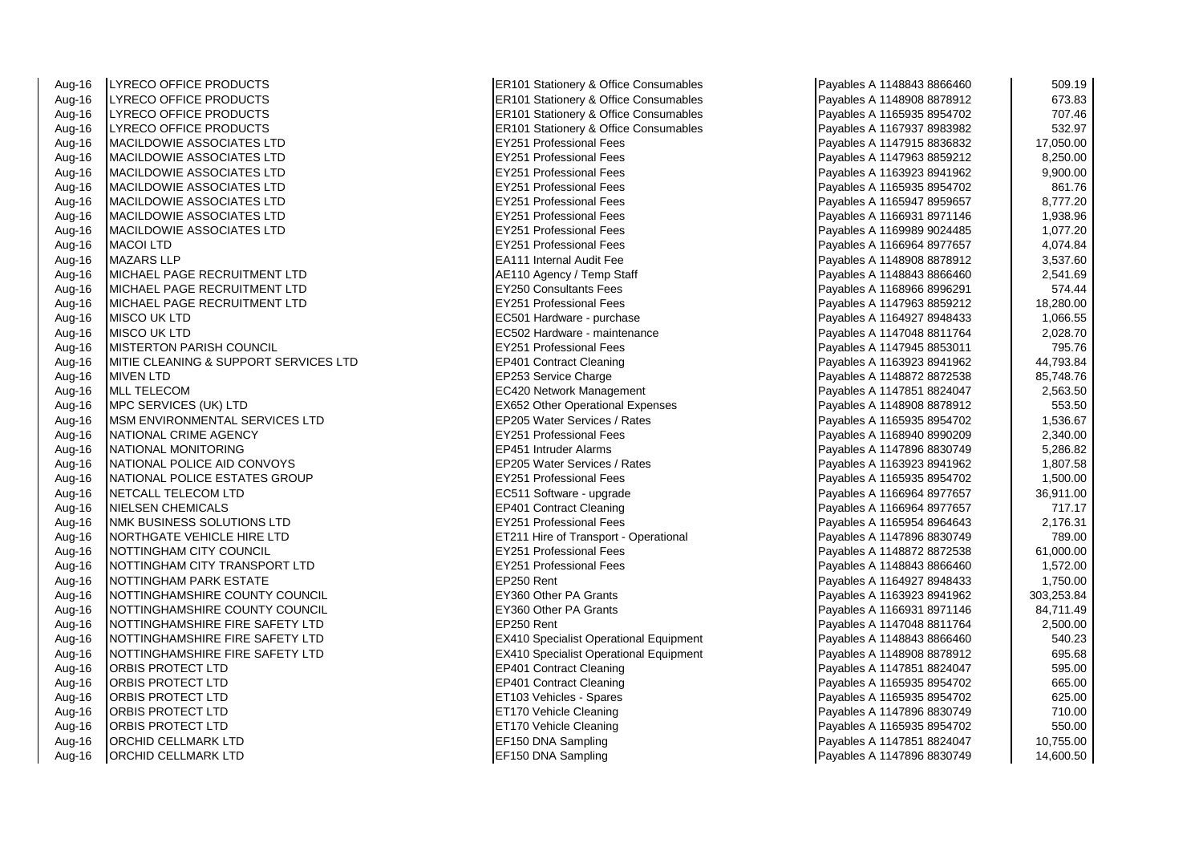Aug-16 LYRECO OFFICE PRODUCTS **ERICO CONSUMING STATISTIC CONSUMERER**<br>Aug-16 LYRECO OFFICE PRODUCTS **ERICO STATISTIC REGISTER** LYRECO OFFICE PRODUCTS ERIC ERIC PAYABLES ERICLE PAYABLES PAYABLES PAYABLES PAYABLES PAYABLES A 1148908 887891 Aug-16 LYRECO OFFICE PRODUCTS ERIC RESOLUTION RESOLUTION NET RANGER AND RESOLUTION OF THE PAYABLES PAYABLES A N Aug-16 LYRECO OFFICE PRODUCTS ER101 Stationery & Office Consumables Aug-16 MACILDOWIE ASSOCIATES LTD EY251 Professional Fees Payables A 1147915 8836832 17,050.00 Aug-16 MACILDOWIE ASSOCIATES LTD<br>Aug-16 MACILDOWIE ASSOCIATES LTD EXAMPLE TO THE RESSIONAL FEES PROfessional Fees Aug-16 MACILDOWIE ASSOCIATES LTD **EXECUTES A 1163923** EY251 Professional Fees Payable A 1163923 8941962 9,900.000<br>Aug-16 MACILDOWIE ASSOCIATES LTD Aug-16 MACILDOWIE ASSOCIATES LTD<br>Aug-16 MACILDOWIE ASSOCIATES LTD EXAMPLE TO THE RESSIONAL FEES PROfessional Fees Aug-16 MACILDOWIE ASSOCIATES LTD Aug-16 MACILDOWIE ASSOCIATES LTD **EXAMPLE 1998.** EY251 Professional Fees<br>Aug-16 MACILDOWIE ASSOCIATES LTD **EXAMPLE 1,939.969.969.969.969.9693.9693.9693.969** Aug-16 MACILDOWIE ASSOCIATES LTD Aug-16 MACOI LTD EY251 Professional Fees Payables A 1166964 8977657 4,074.84 Aug-16 MAZARS LLP EA111 Internal Audit Fee Payables A 1148908 8878912 3,537.60 Aug-16 MICHAEL PAGE RECRUITMENT LTD Annual Action Agency / Temp Staff Aug-16 MICHAEL PAGE RECRUITMENT LTD<br>Aug-16 MICHAFI PAGE RECRUITMENT I TD MICHAEL PAGE RECRUITMENT LTD Aug-16 MISCO UK LTD **ECS01** Hardware - purchase Payables A 1164927 894843 1,066.574 Aug-16 MISCO UK LTD EC502 Hardware - maintenance Payables A 1147048 8811764 2,028.70 Aug-16 MISTERTON PARISH COUNCIL **EXAMPLE 1999** EY251 Professional Fees Aug-16 MITIE CLEANING & SUPPORT SERVICES LTD EP401 Contract Cleaning Aug-16 MIVEN LTD EP253 Service Charge Payables A 1148872 8872538 85,748.76 Aug-16 MLL TELECOM **EC420** Network Management Aug-16 MPC SERVICES (UK) LTD<br>Aug-16 MSM ENVIRONMENTAL SERVICES LTD EXAGREE REP205 Water Services / Rates Aug-16 MSM ENVIRONMENTAL SERVICES LTD Aug-16 NATIONAL CRIME AGENCY EXAMPLE A 1168940 8990201 12091 8990209 2,400.0009 2,400.0009 2,400.000 899020 89 Aug-16 NATIONAL MONITORING EP451 Intruder Alarms Payables A 1147896 8830749 5,286.82 Aug-16 NATIONAL POLICE AID CONVOYS EP205 Water Services / Rates Aug-16 **INATIONAL POLICE ESTATES GROUP** EX251 Professional Fees Aug-16 NETCALL TELECOM LTD EXAMPLE 2001 12 116696 12076 12087 1209764 89787 12087 1209764 89787 1207657 36,911 Aug-16 NIELSEN CHEMICALS<br>Aug-16 NMK RUSINESS SOLUTIONS LTD EXAMPLE PAYABLE PROPERSIONAL FORM Aug-16 **NMK BUSINESS SOLUTIONS LTD** Aug-16 NORTHGATE VEHICLE HIRE LTD ETAIL RESERVE TRANSPORT RESERVED TO PAYABLE TRANSPORT - Operational Aug-16 NOTTINGHAM CITY COUNCIL **EXAMPLE A 1148 814887 121487 121487 8888** EY251 Professional Fees Aug-16 NOTTINGHAM CITY TRANSPORT LTD EXAMPLE PROPERTY FOR STATE PROPERTY A 149-16 Aug-16 NOTTINGHAM PARK ESTATE<br>Aug-16 NOTTINGHAMSHIRE COUNTY COUNCIL EXTREM PASS Rent PAGE A 11649 Aug-16 NOTTINGHAMSHIRE COUNTY COUNCIL Aug-16 NOTTINGHAMSHIRE COUNTY COUNCIL EXAGO Other PA Grants Review of the TAG 11669 Payables A 11669<br>Aug-16 NOTTINGHAMSHIRE FIRE SAFETY LTD Aug-16 NOTTINGHAMSHIRE FIRE SAFETY LTD Aug-16 NOTTINGHAMSHIRE FIRE SAFETY LTD EXAMPLE RAND REXAMPLE RAND Specialist Operational Equipment Aug-16 NOTTINGHAMSHIRE FIRE SAFETY LTD EX410 Specialist Operational Equipment<br>Aug-16 ORBIS PROTECT I TD Aug-16 ORBIS PROTECT LTD EP401 Contract Cleaning Payables A 1147851 8824047 595.00 Aug-16 **ORBIS PROTECT LTD EXAMPLE 2008 89548935 895470 665.000 FEP401 Contract Cleaning** Aug-16 ORBIS PROTECT LTD ET103 Vehicles - Spares Aug-16 ORBIS PROTECT LTD ET170 Vehicle Cleaning Payables A 1147896 8830749 710.00 Aug-16 ORBIS PROTECT LTD **ET170** Vehicle Cleaning Payables A 1165935 895470 5950 895470 595470 550.000 550.000 Aug-16 ORCHID CELLMARK LTD EF150 DNA Sampling Aug-16 ORCHID CELLMARK LTD EF150 DNA Sampling

| Payables A 1148843 8866460 | 509.19     |
|----------------------------|------------|
| Payables A 1148908 8878912 | 673.83     |
| Payables A 1165935 8954702 | 707.46     |
| Payables A 1167937 8983982 | 532.97     |
| Payables A 1147915 8836832 | 17,050.00  |
| Payables A 1147963 8859212 | 8,250.00   |
| Payables A 1163923 8941962 | 9,900.00   |
| Payables A 1165935 8954702 | 861.76     |
| Payables A 1165947 8959657 | 8,777.20   |
| Payables A 1166931 8971146 | 1,938.96   |
| Payables A 1169989 9024485 | 1,077.20   |
| Payables A 1166964 8977657 | 4,074.84   |
| Payables A 1148908 8878912 | 3,537.60   |
| Payables A 1148843 8866460 | 2,541.69   |
| Payables A 1168966 8996291 | 574.44     |
| Payables A 1147963 8859212 | 18,280.00  |
| Payables A 1164927 8948433 | 1,066.55   |
| Payables A 1147048 8811764 | 2,028.70   |
| Payables A 1147945 8853011 | 795.76     |
| Payables A 1163923 8941962 | 44,793.84  |
| Payables A 1148872 8872538 | 85,748.76  |
| Payables A 1147851 8824047 | 2,563.50   |
| Payables A 1148908 8878912 | 553.50     |
| Payables A 1165935 8954702 | 1,536.67   |
| Payables A 1168940 8990209 | 2,340.00   |
| Payables A 1147896 8830749 | 5,286.82   |
| Payables A 1163923 8941962 | 1,807.58   |
| Payables A 1165935 8954702 | 1,500.00   |
| Payables A 1166964 8977657 | 36,911.00  |
| Payables A 1166964 8977657 | 717.17     |
| Payables A 1165954 8964643 | 2,176.31   |
| Payables A 1147896 8830749 | 789.00     |
| Payables A 1148872 8872538 | 61,000.00  |
| Payables A 1148843 8866460 | 1,572.00   |
| Payables A 1164927 8948433 | 1,750.00   |
| Payables A 1163923 8941962 | 303,253.84 |
| Payables A 1166931 8971146 | 84,711.49  |
| Payables A 1147048 8811764 | 2,500.00   |
| Payables A 1148843 8866460 | 540.23     |
| Payables A 1148908 8878912 | 695.68     |
| Payables A 1147851 8824047 | 595.00     |
| Payables A 1165935 8954702 | 665.00     |
| Payables A 1165935 8954702 | 625.00     |
| Payables A 1147896 8830749 | 710.00     |
| Payables A 1165935 8954702 | 550.00     |
| Payables A 1147851 8824047 | 10,755.00  |
| Payables A 1147896 8830749 | 14,600.50  |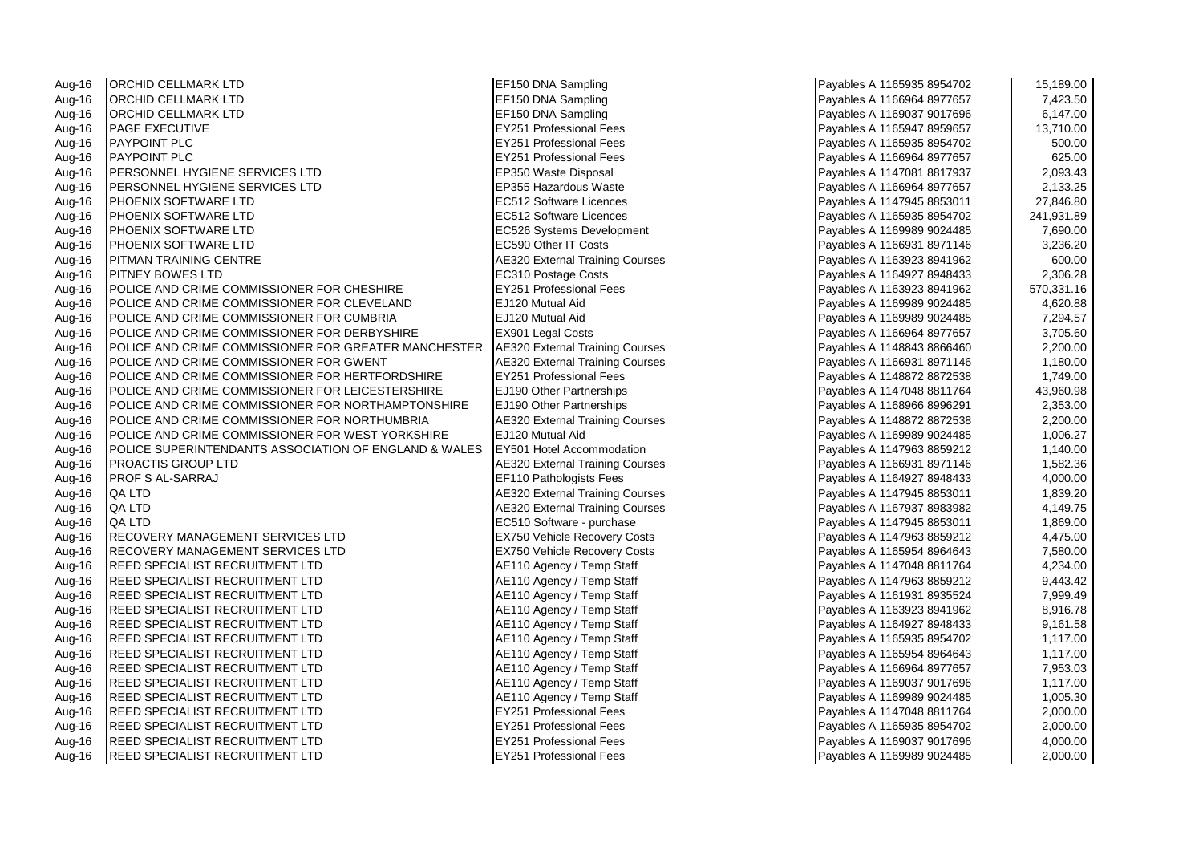Aug-16 ORCHID CELLMARK LTD EF150 DNA Sampling Payables A 1165935 8954702 15,189.00 Aug-16 ORCHID CELLMARK LTD<br>Aug-16 ORCHID CELLMARK LTD A 1166966 897766 89786 89786 89786 89786 89786 89786 89786 Aug-16 ORCHID CELLMARK LTD **EXAMPLES A 1169037 9018** EF150 DNA Sampling Aug-16 PAGE EXECUTIVE EY251 Professional Fees Payables A 1165947 8959657 13,710.00 Aug-16 PAYPOINT PLC EY251 Professional Fees Payables A 1165935 8954702 500.00 Aug-16 PAYPOINT PLC EY251 Professional Fees Payables A 1166964 8977657 625.00 Aug-16 PERSONNEL HYGIENE SERVICES LTD **EP350 Waste Disposal** Report of the Payardous Waster A 11470 881797 2,093.4<br>Aug-16 PERSONNEL HYGIENE SERVICES LTD Aug-16 PERSONNEL HYGIENE SERVICES LTD<br>Aug-16 PHOENIX SOFTWARE LTD Aug-16 PHOENIX SOFTWARE LTD EC512 Software Licences Payables A 1147945 8853011 27,846.80 Aug-16 PHOENIX SOFTWARE LTD EC512 Software Licences Aug-16 PHOENIX SOFTWARE LTD **EXECUTE 2003 EC526** Systems Development Aug-16 PHOENIX SOFTWARE LTD<br>Aug-16 PITMAN TRAINING CENTRE FOR THE SAME RESPONSIVE A 1166931 BATTAINING A 1166931 8971146 320.2011 Aug-16 PITMAN TRAINING CENTRE AUGUST 2008 AE320 External Training Courses Aug-16 PITMEY BOWES LTD Aug-16 PITNEY BOWES LTD EC310 Postage Costs Payables A 1164927 8948433 2,306.28 Aug-16 POLICE AND CRIME COMMISSIONER FOR CHESHIRE **EX251 Professional Fees**<br>Aug-16 POLICE AND CRIME COMMISSIONER FOR CLEVELAND POLICE AND CRIME COMMISSIONER FOR CLEVELAND Aug-16 POLICE AND CRIME COMMISSIONER FOR CUMBRIA **ELIZE** 120 Mutual Aid Aug-16 POLICE AND CRIME COMMISSIONER FOR DERBYSHIRE **EX901 Legal Costs** POLICE AND CRIME COMMISSIONER FOR GREATER MANCHESTER A 16696 External Training Courses POLICE AND CRIME COMMISSIONER FOR GREATER MANCHESTER Aug-16 POLICE AND CRIME COMMISSIONER FOR GWENT **AE320** External Training Courses **Payable A 1166**<br>Aug-16 POLICE AND CRIME COMMISSIONER FOR HERTFORDSHIRE Aug-16 POLICE AND CRIME COMMISSIONER FOR HERTFORDSHIRE Aug-16 POLICE AND CRIME COMMISSIONER FOR LEICESTERSHIRE **E**J190 Other Partnerships Aug-16 POLICE AND CRIME COMMISSIONER FOR NORTHAMPTONSHIRE **E**J190 Other Partnerships Aug-16 POLICE AND CRIME COMMISSIONER FOR NORTHUMBRIA **ALCO** AE320 External Training Courses Aug-16 POLICE AND CRIME COMMISSIONER FOR WEST YORKSHIRE EJ120 Mutual Aid<br>Aug-16 POLICE SUPERINTENDANTS ASSOCIATION OF ENGLAND & WALES EY501 Hotel Accommodation Aug-16 **POLICE SUPERINTENDANTS ASSOCIATION OF ENGLAND & WALES** Aug-16 PROACTIS GROUP LTD AES20 External Training Courses Payables A 1166920 External Training Courses Aug-16 PROF S AL-SARRAJ EF110 Pathologists Fees Aug-16 QA LTD **AUGUST ACCOUNTED ACCOUNT AE320** External Training Courses Aug-16 QA LTD<br>Aug-16 QA LTD AE320 External Training Courses Payables A 11679 89839 89839 89839 89839 89839 89839 Aug-16 QA LTD **EC510** Software - purchase Payable Aug-16 **Blue A 114794 EC510** Software - purchase Aug-16 RECOVERY MANAGEMENT SERVICES LTD EX750 Vehicle Recovery Costs Aug-16 RECOVERY MANAGEMENT SERVICES LTD **EXXISO** Vehicle Recovery Costs Aug-16 REED SPECIALIST RECRUITMENT LTD ALGO AGENCY / Temp Staff Payables A 11470 Agency / Temp Staff Aug-16 REED SPECIALIST RECRUITMENT LTD <br>Aug-16 REED SPECIALIST RECRUITMENT LTD Aug-16 AE110 Agency / Temp Staff Aug-16 REED SPECIALIST RECRUITMENT LTD Aug-16 REED SPECIALIST RECRUITMENT LTD <br>Aug-16 REED SPECIALIST RECRUITMENT LTD AGENCY / Temp Staff Aug-16 REED SPECIALIST RECRUITMENT LTD Aug-16 REED SPECIALIST RECRUITMENT LTD A 1165931 AE110 Agency / Temp Staff Aug-16 REED SPECIALIST RECRUITMENT LTD <br>Aug-16 REED SPECIALIST RECRUITMENT LTD AGENCY Temp Staff Payables A 110 Agency / Temp Staff Aug-16 REED SPECIALIST RECRUITMENT LTD Aug-16 REED SPECIALIST RECRUITMENT LTD ALL ALL ALL AGE110 Agency / Temp Staff Aug-16 REED SPECIALIST RECRUITMENT LTD A 11699 AE110 Agency / Temp Staff Aug-16 REED SPECIALIST RECRUITMENT LTD EXAMPLE RESERVES REPORTS TO RESERVE THE RESERVE RECRUITMENT LTD Aug-16 REED SPECIALIST RECRUITMENT LTD EXAMPLE REFORM THE RESIDENT RECRUITMENT LTD Aug-16 REED SPECIALIST RECRUITMENT LTD EXAMPLE RESERVES REPORTS A 149-16 Professional Fees Aug-16 REED SPECIALIST RECRUITMENT LTD **EXAMPLE 1999 EX251 Professional Fees** 

| Payables A 1165935 8954702 | 15,189.00  |
|----------------------------|------------|
| Payables A 1166964 8977657 | 7,423.50   |
| Payables A 1169037 9017696 | 6,147.00   |
| Payables A 1165947 8959657 | 13,710.00  |
| Payables A 1165935 8954702 | 500.00     |
| Payables A 1166964 8977657 | 625.00     |
| Payables A 1147081 8817937 | 2,093.43   |
| Payables A 1166964 8977657 | 2,133.25   |
| Payables A 1147945 8853011 | 27,846.80  |
| Payables A 1165935 8954702 | 241,931.89 |
| Payables A 1169989 9024485 | 7,690.00   |
| Payables A 1166931 8971146 | 3,236.20   |
| Payables A 1163923 8941962 | 600.00     |
| Payables A 1164927 8948433 | 2,306.28   |
| Payables A 1163923 8941962 | 570,331.16 |
| Payables A 1169989 9024485 | 4,620.88   |
| Payables A 1169989 9024485 | 7,294.57   |
| Payables A 1166964 8977657 | 3,705.60   |
| Payables A 1148843 8866460 | 2,200.00   |
| Payables A 1166931 8971146 | 1,180.00   |
| Payables A 1148872 8872538 | 1,749.00   |
| Payables A 1147048 8811764 | 43,960.98  |
| Payables A 1168966 8996291 | 2,353.00   |
| Payables A 1148872 8872538 | 2,200.00   |
| Payables A 1169989 9024485 | 1,006.27   |
| Payables A 1147963 8859212 | 1,140.00   |
| Payables A 1166931 8971146 | 1,582.36   |
| Payables A 1164927 8948433 | 4,000.00   |
| Payables A 1147945 8853011 | 1,839.20   |
| Payables A 1167937 8983982 | 4,149.75   |
| Payables A 1147945 8853011 | 1,869.00   |
| Payables A 1147963 8859212 | 4,475.00   |
| Payables A 1165954 8964643 | 7,580.00   |
| Payables A 1147048 8811764 | 4,234.00   |
| Payables A 1147963 8859212 | 9,443.42   |
| Payables A 1161931 8935524 | 7,999.49   |
| Payables A 1163923 8941962 | 8,916.78   |
| Payables A 1164927 8948433 | 9,161.58   |
| Payables A 1165935 8954702 | 1,117.00   |
| Payables A 1165954 8964643 | 1,117.00   |
| Payables A 1166964 8977657 | 7,953.03   |
| Payables A 1169037 9017696 | 1,117.00   |
| Payables A 1169989 9024485 | 1,005.30   |
| Payables A 1147048 8811764 | 2,000.00   |
| Payables A 1165935 8954702 | 2,000.00   |
| Payables A 1169037 9017696 | 4,000.00   |
| Payables A 1169989 9024485 | 2,000.00   |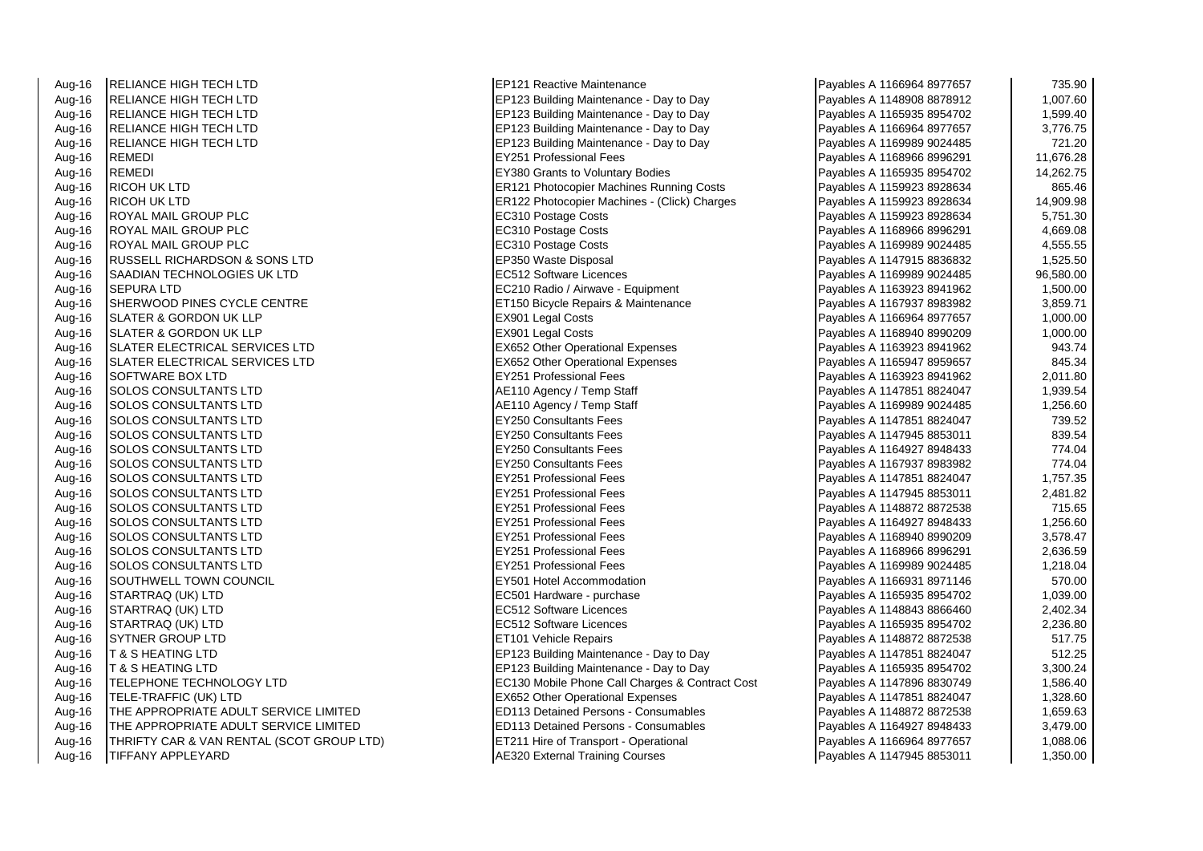| Aug-16                             | <b>IRELIANCE HIGH TECH LTD</b>            | EP121 Reactive Maintenance                      | Payables A 1166964 8977657 | 735.90    |
|------------------------------------|-------------------------------------------|-------------------------------------------------|----------------------------|-----------|
| Aug-16                             | <b>RELIANCE HIGH TECH LTD</b>             | EP123 Building Maintenance - Day to Day         | Payables A 1148908 8878912 | 1,007.60  |
| Aug-16                             | <b>RELIANCE HIGH TECH LTD</b>             | EP123 Building Maintenance - Day to Day         | Payables A 1165935 8954702 | 1,599.40  |
| Aug-16                             | <b>RELIANCE HIGH TECH LTD</b>             | EP123 Building Maintenance - Day to Day         | Payables A 1166964 8977657 | 3,776.75  |
| Aug-16                             | <b>RELIANCE HIGH TECH LTD</b>             | EP123 Building Maintenance - Day to Day         | Payables A 1169989 9024485 | 721.20    |
| Aug-16                             | <b>REMEDI</b>                             | <b>EY251 Professional Fees</b>                  | Payables A 1168966 8996291 | 11,676.28 |
| Aug-16                             | <b>REMEDI</b>                             | EY380 Grants to Voluntary Bodies                | Payables A 1165935 8954702 | 14,262.75 |
| Aug-16                             | <b>RICOH UK LTD</b>                       | ER121 Photocopier Machines Running Costs        | Payables A 1159923 8928634 | 865.46    |
| Aug-16                             | <b>RICOH UK LTD</b>                       | ER122 Photocopier Machines - (Click) Charges    | Payables A 1159923 8928634 | 14,909.98 |
| Aug-16                             | ROYAL MAIL GROUP PLC                      | EC310 Postage Costs                             | Payables A 1159923 8928634 | 5,751.30  |
| Aug-16                             | ROYAL MAIL GROUP PLC                      | EC310 Postage Costs                             | Payables A 1168966 8996291 | 4,669.08  |
| Aug-16                             | ROYAL MAIL GROUP PLC                      | EC310 Postage Costs                             | Payables A 1169989 9024485 | 4,555.55  |
| Aug-16                             | <b>RUSSELL RICHARDSON &amp; SONS LTD</b>  | EP350 Waste Disposal                            | Payables A 1147915 8836832 | 1,525.50  |
| Aug-16                             | SAADIAN TECHNOLOGIES UK LTD               | EC512 Software Licences                         | Payables A 1169989 9024485 | 96,580.00 |
| Aug-16                             | <b>SEPURA LTD</b>                         | EC210 Radio / Airwave - Equipment               | Payables A 1163923 8941962 | 1,500.00  |
| Aug-16                             | SHERWOOD PINES CYCLE CENTRE               | ET150 Bicycle Repairs & Maintenance             | Payables A 1167937 8983982 | 3,859.71  |
| Aug-16                             | <b>SLATER &amp; GORDON UK LLP</b>         | <b>EX901 Legal Costs</b>                        | Payables A 1166964 8977657 | 1,000.00  |
| Aug-16                             | <b>ISLATER &amp; GORDON UK LLP</b>        | EX901 Legal Costs                               | Payables A 1168940 8990209 | 1,000.00  |
| Aug-16                             | SLATER ELECTRICAL SERVICES LTD            | <b>EX652 Other Operational Expenses</b>         | Payables A 1163923 8941962 | 943.74    |
| Aug-16                             | SLATER ELECTRICAL SERVICES LTD            | EX652 Other Operational Expenses                | Payables A 1165947 8959657 | 845.34    |
| Aug-16                             | <b>SOFTWARE BOX LTD</b>                   | <b>EY251 Professional Fees</b>                  | Payables A 1163923 8941962 | 2,011.80  |
| Aug-16                             | <b>SOLOS CONSULTANTS LTD</b>              | AE110 Agency / Temp Staff                       | Payables A 1147851 8824047 | 1,939.54  |
| Aug-16                             | <b>SOLOS CONSULTANTS LTD</b>              | AE110 Agency / Temp Staff                       | Payables A 1169989 9024485 | 1,256.60  |
| Aug-16                             | SOLOS CONSULTANTS LTD                     | <b>EY250 Consultants Fees</b>                   | Payables A 1147851 8824047 | 739.52    |
| Aug-16                             | <b>SOLOS CONSULTANTS LTD</b>              | <b>EY250 Consultants Fees</b>                   | Payables A 1147945 8853011 | 839.54    |
| Aug-16                             | <b>SOLOS CONSULTANTS LTD</b>              | <b>EY250 Consultants Fees</b>                   | Payables A 1164927 8948433 | 774.04    |
| Aug-16                             | <b>SOLOS CONSULTANTS LTD</b>              | <b>EY250 Consultants Fees</b>                   | Payables A 1167937 8983982 | 774.04    |
| Aug-16                             | <b>SOLOS CONSULTANTS LTD</b>              | <b>EY251 Professional Fees</b>                  | Payables A 1147851 8824047 | 1,757.35  |
| Aug-16                             | <b>ISOLOS CONSULTANTS LTD</b>             | EY251 Professional Fees                         | Payables A 1147945 8853011 | 2,481.82  |
| Aug-16                             | <b>SOLOS CONSULTANTS LTD</b>              | <b>EY251 Professional Fees</b>                  | Payables A 1148872 8872538 | 715.65    |
| Aug-16                             | <b>SOLOS CONSULTANTS LTD</b>              | <b>EY251 Professional Fees</b>                  | Payables A 1164927 8948433 | 1,256.60  |
| Aug-16                             | <b>SOLOS CONSULTANTS LTD</b>              | <b>EY251 Professional Fees</b>                  | Payables A 1168940 8990209 | 3,578.47  |
| Aug-16                             | <b>SOLOS CONSULTANTS LTD</b>              | <b>EY251 Professional Fees</b>                  | Payables A 1168966 8996291 | 2,636.59  |
| Aug-16                             | SOLOS CONSULTANTS LTD                     | <b>EY251 Professional Fees</b>                  | Payables A 1169989 9024485 | 1,218.04  |
| Aug-16                             | <b>SOUTHWELL TOWN COUNCIL</b>             | EY501 Hotel Accommodation                       | Payables A 1166931 8971146 | 570.00    |
| Aug-16                             | STARTRAQ (UK) LTD                         | EC501 Hardware - purchase                       | Payables A 1165935 8954702 | 1,039.00  |
| Aug-16                             | STARTRAQ (UK) LTD                         | <b>EC512 Software Licences</b>                  | Payables A 1148843 8866460 | 2,402.34  |
| Aug-16                             | STARTRAQ (UK) LTD                         | EC512 Software Licences                         | Payables A 1165935 8954702 | 2,236.80  |
| Aug-16                             | <b>SYTNER GROUP LTD</b>                   | ET101 Vehicle Repairs                           | Payables A 1148872 8872538 | 517.75    |
| Aug-16                             | IT & S HEATING LTD                        | EP123 Building Maintenance - Day to Day         | Payables A 1147851 8824047 | 512.25    |
| Aug-16                             | IT & S HEATING LTD                        | EP123 Building Maintenance - Day to Day         | Payables A 1165935 8954702 | 3,300.24  |
| Aug-16                             | <b>TELEPHONE TECHNOLOGY LTD</b>           | EC130 Mobile Phone Call Charges & Contract Cost | Payables A 1147896 8830749 | 1,586.40  |
| Aug-16                             | TELE-TRAFFIC (UK) LTD                     | <b>EX652 Other Operational Expenses</b>         | Payables A 1147851 8824047 | 1,328.60  |
| Aug-16                             | THE APPROPRIATE ADULT SERVICE LIMITED     | ED113 Detained Persons - Consumables            | Payables A 1148872 8872538 | 1,659.63  |
| Aug-16                             | THE APPROPRIATE ADULT SERVICE LIMITED     | <b>ED113 Detained Persons - Consumables</b>     | Payables A 1164927 8948433 | 3,479.00  |
| Aug-16                             | THRIFTY CAR & VAN RENTAL (SCOT GROUP LTD) | ET211 Hire of Transport - Operational           | Payables A 1166964 8977657 | 1,088.06  |
| $\Lambda$ <sub>110</sub> $4\Omega$ | ITIEE ANV ADDI EVADD.                     | AE220 External Training Courses                 | Dovables A 1147045 8852011 | 1.25000   |

| Payables A 1166964 8977657 | 735.90    |
|----------------------------|-----------|
| Payables A 1148908 8878912 | 1,007.60  |
| Payables A 1165935 8954702 | 1,599.40  |
| Payables A 1166964 8977657 | 3,776.75  |
| Payables A 1169989 9024485 | 721.20    |
| Payables A 1168966 8996291 | 11,676.28 |
| Payables A 1165935 8954702 | 14,262.75 |
| Payables A 1159923 8928634 | 865.46    |
| Payables A 1159923 8928634 | 14,909.98 |
| Payables A 1159923 8928634 | 5,751.30  |
| Payables A 1168966 8996291 | 4,669.08  |
| Payables A 1169989 9024485 | 4,555.55  |
| Payables A 1147915 8836832 | 1,525.50  |
| Payables A 1169989 9024485 | 96,580.00 |
| Payables A 1163923 8941962 | 1,500.00  |
| Payables A 1167937 8983982 | 3,859.71  |
| Payables A 1166964 8977657 | 1,000.00  |
| Payables A 1168940 8990209 | 1,000.00  |
| Payables A 1163923 8941962 | 943.74    |
| Payables A 1165947 8959657 | 845.34    |
| Payables A 1163923 8941962 | 2,011.80  |
| Payables A 1147851 8824047 | 1,939.54  |
| Payables A 1169989 9024485 | 1,256.60  |
| Payables A 1147851 8824047 | 739.52    |
| Payables A 1147945 8853011 | 839.54    |
| Payables A 1164927 8948433 | 774.04    |
| Payables A 1167937 8983982 | 774.04    |
| Payables A 1147851 8824047 | 1,757.35  |
| Payables A 1147945 8853011 | 2,481.82  |
| Payables A 1148872 8872538 | 715.65    |
| Payables A 1164927 8948433 | 1,256.60  |
| Payables A 1168940 8990209 | 3,578.47  |
| Payables A 1168966 8996291 | 2,636.59  |
| Payables A 1169989 9024485 | 1,218.04  |
| Payables A 1166931 8971146 | 570.00    |
| Payables A 1165935 8954702 | 1,039.00  |
| Payables A 1148843 8866460 | 2,402.34  |
| Payables A 1165935 8954702 | 2,236.80  |
| Payables A 1148872 8872538 | 517.75    |
| Payables A 1147851 8824047 | 512.25    |
| Payables A 1165935 8954702 | 3,300.24  |
| Payables A 1147896 8830749 | 1,586.40  |
| Payables A 1147851 8824047 | 1,328.60  |
| Payables A 1148872 8872538 | 1,659.63  |
| Payables A 1164927 8948433 | 3,479.00  |
| Payables A 1166964 8977657 | 1,088.06  |
| Pavables A 1147945 8853011 | 1.350.00  |